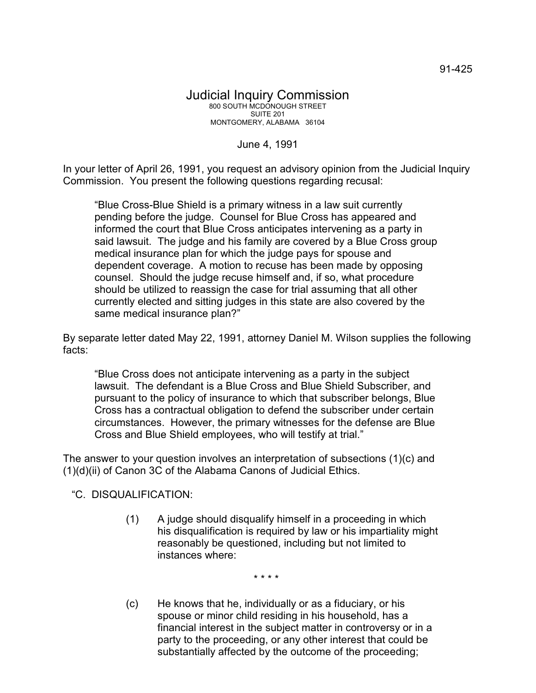91-425

## Judicial Inquiry Commission 800 SOUTH MCDONOUGH STREET SUITE 201 MONTGOMERY, ALABAMA 36104

June 4, 1991

In your letter of April 26, 1991, you request an advisory opinion from the Judicial Inquiry Commission. You present the following questions regarding recusal:

"Blue Cross-Blue Shield is a primary witness in a law suit currently pending before the judge. Counsel for Blue Cross has appeared and informed the court that Blue Cross anticipates intervening as a party in said lawsuit. The judge and his family are covered by a Blue Cross group medical insurance plan for which the judge pays for spouse and dependent coverage. A motion to recuse has been made by opposing counsel. Should the judge recuse himself and, if so, what procedure should be utilized to reassign the case for trial assuming that all other currently elected and sitting judges in this state are also covered by the same medical insurance plan?"

By separate letter dated May 22, 1991, attorney Daniel M. Wilson supplies the following facts:

"Blue Cross does not anticipate intervening as a party in the subject lawsuit. The defendant is a Blue Cross and Blue Shield Subscriber, and pursuant to the policy of insurance to which that subscriber belongs, Blue Cross has a contractual obligation to defend the subscriber under certain circumstances. However, the primary witnesses for the defense are Blue Cross and Blue Shield employees, who will testify at trial."

The answer to your question involves an interpretation of subsections (1)(c) and  $(1)(d)(ii)$  of Canon 3C of the Alabama Canons of Judicial Ethics.

"C. DISQUALIFICATION:

(1) A judge should disqualify himself in a proceeding in which his disqualification is required by law or his impartiality might reasonably be questioned, including but not limited to instances where:

\* \* \* \*

(c) He knows that he, individually or as a fiduciary, or his spouse or minor child residing in his household, has a financial interest in the subject matter in controversy or in a party to the proceeding, or any other interest that could be substantially affected by the outcome of the proceeding;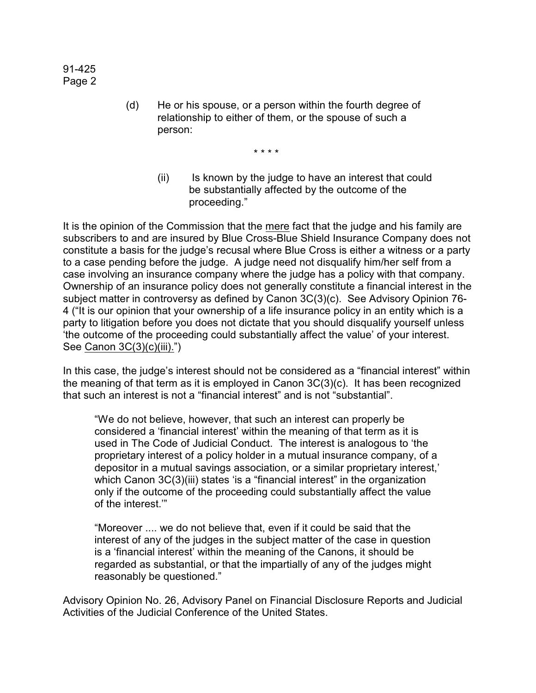91-425 Page 2

> (d) He or his spouse, or a person within the fourth degree of relationship to either of them, or the spouse of such a person:

> > \* \* \* \*

(ii) Is known by the judge to have an interest that could be substantially affected by the outcome of the proceeding."

It is the opinion of the Commission that the mere fact that the judge and his family are subscribers to and are insured by Blue Cross-Blue Shield Insurance Company does not constitute a basis for the judge's recusal where Blue Cross is either a witness or a party to a case pending before the judge. A judge need not disqualify him/her self from a case involving an insurance company where the judge has a policy with that company. Ownership of an insurance policy does not generally constitute a financial interest in the subject matter in controversy as defined by Canon 3C(3)(c). See Advisory Opinion 76- 4 ("It is our opinion that your ownership of a life insurance policy in an entity which is a party to litigation before you does not dictate that you should disqualify yourself unless 'the outcome of the proceeding could substantially affect the value' of your interest. See Canon 3C(3)(c)(iii).")

In this case, the judge's interest should not be considered as a "financial interest" within the meaning of that term as it is employed in Canon 3C(3)(c). It has been recognized that such an interest is not a "financial interest" and is not "substantial".

"We do not believe, however, that such an interest can properly be considered a 'financial interest' within the meaning of that term as it is used in The Code of Judicial Conduct. The interest is analogous to 'the proprietary interest of a policy holder in a mutual insurance company, of a depositor in a mutual savings association, or a similar proprietary interest,' which Canon 3C(3)(iii) states 'is a "financial interest" in the organization only if the outcome of the proceeding could substantially affect the value of the interest.'"

"Moreover .... we do not believe that, even if it could be said that the interest of any of the judges in the subject matter of the case in question is a 'financial interest' within the meaning of the Canons, it should be regarded as substantial, or that the impartially of any of the judges might reasonably be questioned."

Advisory Opinion No. 26, Advisory Panel on Financial Disclosure Reports and Judicial Activities of the Judicial Conference of the United States.